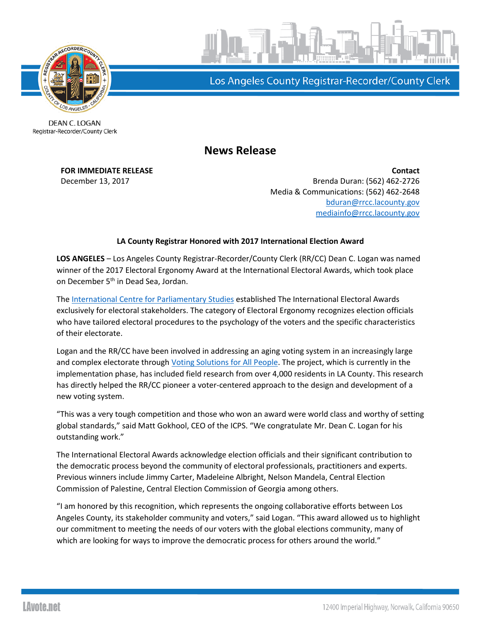

Los Angeles County Registrar-Recorder/County Clerk

DEAN C. LOGAN Registrar-Recorder/County Clerk

**News Release**

**FOR IMMEDIATE RELEASE Contact** December 13, 2017 Brenda Duran: (562) 462-2726 Media & Communications: (562) 462-2648 [bduran@rrcc.lacounty.gov](mailto:bduran@rrcc.lacounty.gov) [mediainfo@rrcc.lacounty.gov](mailto:mediainfo@rrcc.lacounty.gov)

## **LA County Registrar Honored with 2017 International Election Award**

**LOS ANGELES** – Los Angeles County Registrar-Recorder/County Clerk (RR/CC) Dean C. Logan was named winner of the 2017 Electoral Ergonomy Award at the International Electoral Awards, which took place on December 5<sup>th</sup> in Dead Sea, Jordan.

The [International Centre for Parliamentary Studies](http://www.parlicentre.org/) established The International Electoral Awards exclusively for electoral stakeholders. The category of Electoral Ergonomy recognizes election officials who have tailored electoral procedures to the psychology of the voters and the specific characteristics of their electorate.

Logan and the RR/CC have been involved in addressing an aging voting system in an increasingly large and complex electorate through [Voting Solutions for All People.](http://vsap.lavote.net/) The project, which is currently in the implementation phase, has included field research from over 4,000 residents in LA County. This research has directly helped the RR/CC pioneer a voter-centered approach to the design and development of a new voting system.

"This was a very tough competition and those who won an award were world class and worthy of setting global standards," said Matt Gokhool, CEO of the ICPS. "We congratulate Mr. Dean C. Logan for his outstanding work."

The International Electoral Awards acknowledge election officials and their significant contribution to the democratic process beyond the community of electoral professionals, practitioners and experts. Previous winners include Jimmy Carter, Madeleine Albright, Nelson Mandela, Central Election Commission of Palestine, Central Election Commission of Georgia among others.

"I am honored by this recognition, which represents the ongoing collaborative efforts between Los Angeles County, its stakeholder community and voters," said Logan. "This award allowed us to highlight our commitment to meeting the needs of our voters with the global elections community, many of which are looking for ways to improve the democratic process for others around the world."